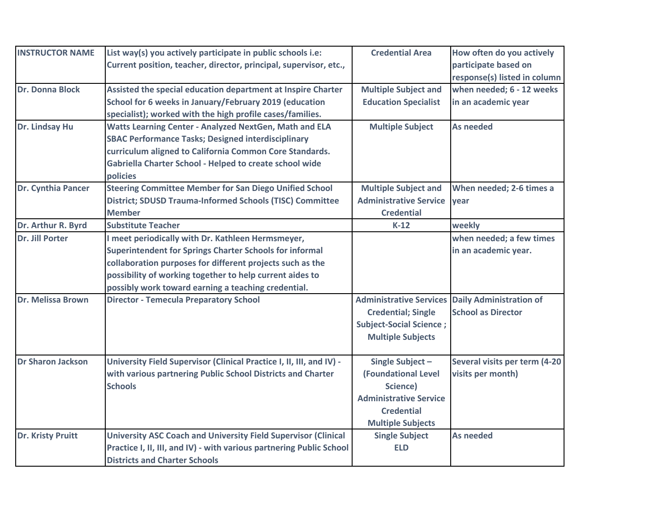| <b>INSTRUCTOR NAME</b>   | List way(s) you actively participate in public schools i.e:                                                                                                                                                                                                                                                                             | <b>Credential Area</b>                                                                                                                                                             | How often do you actively                                       |
|--------------------------|-----------------------------------------------------------------------------------------------------------------------------------------------------------------------------------------------------------------------------------------------------------------------------------------------------------------------------------------|------------------------------------------------------------------------------------------------------------------------------------------------------------------------------------|-----------------------------------------------------------------|
|                          | Current position, teacher, director, principal, supervisor, etc.,                                                                                                                                                                                                                                                                       |                                                                                                                                                                                    | participate based on                                            |
|                          |                                                                                                                                                                                                                                                                                                                                         |                                                                                                                                                                                    | response(s) listed in column                                    |
| <b>Dr. Donna Block</b>   | Assisted the special education department at Inspire Charter                                                                                                                                                                                                                                                                            | <b>Multiple Subject and</b>                                                                                                                                                        | when needed; 6 - 12 weeks                                       |
|                          | School for 6 weeks in January/February 2019 (education                                                                                                                                                                                                                                                                                  | <b>Education Specialist</b>                                                                                                                                                        | in an academic year                                             |
|                          | specialist); worked with the high profile cases/families.                                                                                                                                                                                                                                                                               |                                                                                                                                                                                    |                                                                 |
| Dr. Lindsay Hu           | Watts Learning Center - Analyzed NextGen, Math and ELA                                                                                                                                                                                                                                                                                  | <b>Multiple Subject</b>                                                                                                                                                            | <b>As needed</b>                                                |
|                          | <b>SBAC Performance Tasks; Designed interdisciplinary</b>                                                                                                                                                                                                                                                                               |                                                                                                                                                                                    |                                                                 |
|                          | curriculum aligned to California Common Core Standards.                                                                                                                                                                                                                                                                                 |                                                                                                                                                                                    |                                                                 |
|                          | Gabriella Charter School - Helped to create school wide                                                                                                                                                                                                                                                                                 |                                                                                                                                                                                    |                                                                 |
|                          | policies                                                                                                                                                                                                                                                                                                                                |                                                                                                                                                                                    |                                                                 |
| Dr. Cynthia Pancer       | <b>Steering Committee Member for San Diego Unified School</b>                                                                                                                                                                                                                                                                           | <b>Multiple Subject and</b>                                                                                                                                                        | When needed; 2-6 times a                                        |
|                          | District; SDUSD Trauma-Informed Schools (TISC) Committee                                                                                                                                                                                                                                                                                | <b>Administrative Service</b>                                                                                                                                                      | year                                                            |
|                          | <b>Member</b>                                                                                                                                                                                                                                                                                                                           | <b>Credential</b>                                                                                                                                                                  |                                                                 |
| Dr. Arthur R. Byrd       | <b>Substitute Teacher</b>                                                                                                                                                                                                                                                                                                               | $K-12$                                                                                                                                                                             | weekly                                                          |
| Dr. Jill Porter          | meet periodically with Dr. Kathleen Hermsmeyer,                                                                                                                                                                                                                                                                                         |                                                                                                                                                                                    | when needed; a few times                                        |
|                          | <b>Superintendent for Springs Charter Schools for informal</b>                                                                                                                                                                                                                                                                          |                                                                                                                                                                                    | in an academic year.                                            |
|                          | collaboration purposes for different projects such as the                                                                                                                                                                                                                                                                               |                                                                                                                                                                                    |                                                                 |
|                          | possibility of working together to help current aides to                                                                                                                                                                                                                                                                                |                                                                                                                                                                                    |                                                                 |
|                          | possibly work toward earning a teaching credential.                                                                                                                                                                                                                                                                                     |                                                                                                                                                                                    |                                                                 |
| Dr. Melissa Brown        | <b>Director - Temecula Preparatory School</b>                                                                                                                                                                                                                                                                                           | <b>Administrative Services</b>                                                                                                                                                     | <b>Daily Administration of</b>                                  |
|                          |                                                                                                                                                                                                                                                                                                                                         | <b>Credential; Single</b>                                                                                                                                                          | <b>School as Director</b>                                       |
|                          |                                                                                                                                                                                                                                                                                                                                         | <b>Subject-Social Science;</b>                                                                                                                                                     |                                                                 |
|                          |                                                                                                                                                                                                                                                                                                                                         | <b>Multiple Subjects</b>                                                                                                                                                           |                                                                 |
| <b>Dr Sharon Jackson</b> |                                                                                                                                                                                                                                                                                                                                         |                                                                                                                                                                                    |                                                                 |
|                          |                                                                                                                                                                                                                                                                                                                                         |                                                                                                                                                                                    |                                                                 |
|                          |                                                                                                                                                                                                                                                                                                                                         |                                                                                                                                                                                    |                                                                 |
|                          |                                                                                                                                                                                                                                                                                                                                         |                                                                                                                                                                                    |                                                                 |
|                          |                                                                                                                                                                                                                                                                                                                                         |                                                                                                                                                                                    |                                                                 |
|                          |                                                                                                                                                                                                                                                                                                                                         |                                                                                                                                                                                    |                                                                 |
| <b>Dr. Kristy Pruitt</b> |                                                                                                                                                                                                                                                                                                                                         |                                                                                                                                                                                    |                                                                 |
|                          |                                                                                                                                                                                                                                                                                                                                         |                                                                                                                                                                                    |                                                                 |
|                          |                                                                                                                                                                                                                                                                                                                                         |                                                                                                                                                                                    |                                                                 |
|                          | University Field Supervisor (Clinical Practice I, II, III, and IV) -<br>with various partnering Public School Districts and Charter<br><b>Schools</b><br>University ASC Coach and University Field Supervisor (Clinical<br>Practice I, II, III, and IV) - with various partnering Public School<br><b>Districts and Charter Schools</b> | Single Subject-<br><b>(Foundational Level</b><br>Science)<br><b>Administrative Service</b><br><b>Credential</b><br><b>Multiple Subjects</b><br><b>Single Subject</b><br><b>ELD</b> | Several visits per term (4-20<br>visits per month)<br>As needed |